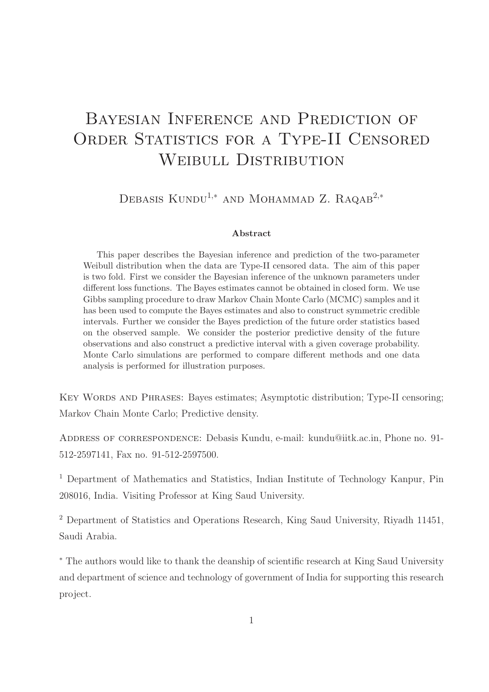# Bayesian Inference and Prediction of ORDER STATISTICS FOR A TYPE-II CENSORED WEIBULL DISTRIBUTION

DEBASIS KUNDU<sup>1,\*</sup> AND MOHAMMAD Z. RAQAB<sup>2,\*</sup>

#### Abstract

This paper describes the Bayesian inference and prediction of the two-parameter Weibull distribution when the data are Type-II censored data. The aim of this paper is two fold. First we consider the Bayesian inference of the unknown parameters under different loss functions. The Bayes estimates cannot be obtained in closed form. We use Gibbs sampling procedure to draw Markov Chain Monte Carlo (MCMC) samples and it has been used to compute the Bayes estimates and also to construct symmetric credible intervals. Further we consider the Bayes prediction of the future order statistics based on the observed sample. We consider the posterior predictive density of the future observations and also construct a predictive interval with a given coverage probability. Monte Carlo simulations are performed to compare different methods and one data analysis is performed for illustration purposes.

KEY WORDS AND PHRASES: Bayes estimates; Asymptotic distribution; Type-II censoring; Markov Chain Monte Carlo; Predictive density.

ADDRESS OF CORRESPONDENCE: Debasis Kundu, e-mail: kundu@iitk.ac.in, Phone no. 91-512-2597141, Fax no. 91-512-2597500.

<sup>1</sup> Department of Mathematics and Statistics, Indian Institute of Technology Kanpur, Pin 208016, India. Visiting Professor at King Saud University.

<sup>2</sup> Department of Statistics and Operations Research, King Saud University, Rivadh 11451, Saudi Arabia.

<sup>∗</sup> The authors would like to thank the deanship of scientific research at King Saud University and department of science and technology of government of India for supporting this research project.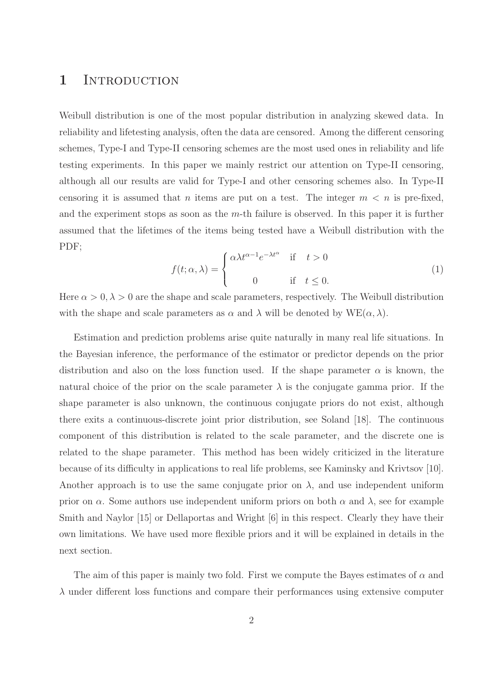#### 1 INTRODUCTION

Weibull distribution is one of the most popular distribution in analyzing skewed data. In reliability and lifetesting analysis, often the data are censored. Among the different censoring schemes, Type-I and Type-II censoring schemes are the most used ones in reliability and life testing experiments. In this paper we mainly restrict our attention on Type-II censoring, although all our results are valid for Type-I and other censoring schemes also. In Type-II censoring it is assumed that *n* items are put on a test. The integer  $m < n$  is pre-fixed, and the experiment stops as soon as the  $m$ -th failure is observed. In this paper it is further assumed that the lifetimes of the items being tested have a Weibull distribution with the PDF;

$$
f(t; \alpha, \lambda) = \begin{cases} \alpha \lambda t^{\alpha - 1} e^{-\lambda t^{\alpha}} & \text{if } t > 0 \\ 0 & \text{if } t \le 0. \end{cases}
$$
 (1)

Here  $\alpha > 0, \lambda > 0$  are the shape and scale parameters, respectively. The Weibull distribution with the shape and scale parameters as  $\alpha$  and  $\lambda$  will be denoted by  $WE(\alpha, \lambda)$ .

Estimation and prediction problems arise quite naturally in many real life situations. In the Bayesian inference, the performance of the estimator or predictor depends on the prior distribution and also on the loss function used. If the shape parameter  $\alpha$  is known, the natural choice of the prior on the scale parameter  $\lambda$  is the conjugate gamma prior. If the shape parameter is also unknown, the continuous conjugate priors do not exist, although there exits a continuous-discrete joint prior distribution, see Soland [18]. The continuous component of this distribution is related to the scale parameter, and the discrete one is related to the shape parameter. This method has been widely criticized in the literature because of its difficulty in applications to real life problems, see Kaminsky and Krivtsov [10]. Another approach is to use the same conjugate prior on  $\lambda$ , and use independent uniform prior on  $\alpha$ . Some authors use independent uniform priors on both  $\alpha$  and  $\lambda$ , see for example Smith and Naylor [15] or Dellaportas and Wright [6] in this respect. Clearly they have their own limitations. We have used more flexible priors and it will be explained in details in the next section.

The aim of this paper is mainly two fold. First we compute the Bayes estimates of  $\alpha$  and  $\lambda$  under different loss functions and compare their performances using extensive computer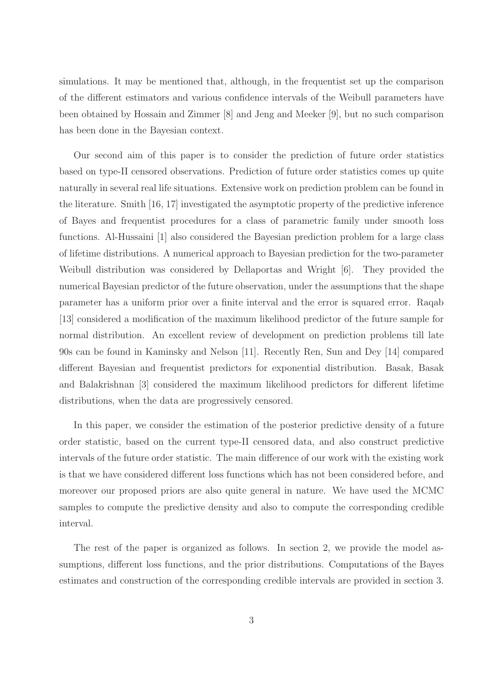simulations. It may be mentioned that, although, in the frequentist set up the comparison of the different estimators and various confidence intervals of the Weibull parameters have been obtained by Hossain and Zimmer [8] and Jeng and Meeker [9], but no such comparison has been done in the Bayesian context.

Our second aim of this paper is to consider the prediction of future order statistics based on type-II censored observations. Prediction of future order statistics comes up quite naturally in several real life situations. Extensive work on prediction problem can be found in the literature. Smith [16, 17] investigated the asymptotic property of the predictive inference of Bayes and frequentist procedures for a class of parametric family under smooth loss functions. Al-Hussaini [1] also considered the Bayesian prediction problem for a large class of lifetime distributions. A numerical approach to Bayesian prediction for the two-parameter Weibull distribution was considered by Dellaportas and Wright [6]. They provided the numerical Bayesian predictor of the future observation, under the assumptions that the shape parameter has a uniform prior over a finite interval and the error is squared error. Raqab [13] considered a modification of the maximum likelihood predictor of the future sample for normal distribution. An excellent review of development on prediction problems till late 90s can be found in Kaminsky and Nelson [11]. Recently Ren, Sun and Dey [14] compared different Bayesian and frequentist predictors for exponential distribution. Basak, Basak and Balakrishnan [3] considered the maximum likelihood predictors for different lifetime distributions, when the data are progressively censored.

In this paper, we consider the estimation of the posterior predictive density of a future order statistic, based on the current type-II censored data, and also construct predictive intervals of the future order statistic. The main difference of our work with the existing work is that we have considered different loss functions which has not been considered before, and moreover our proposed priors are also quite general in nature. We have used the MCMC samples to compute the predictive density and also to compute the corresponding credible interval.

The rest of the paper is organized as follows. In section 2, we provide the model assumptions, different loss functions, and the prior distributions. Computations of the Bayes estimates and construction of the corresponding credible intervals are provided in section 3.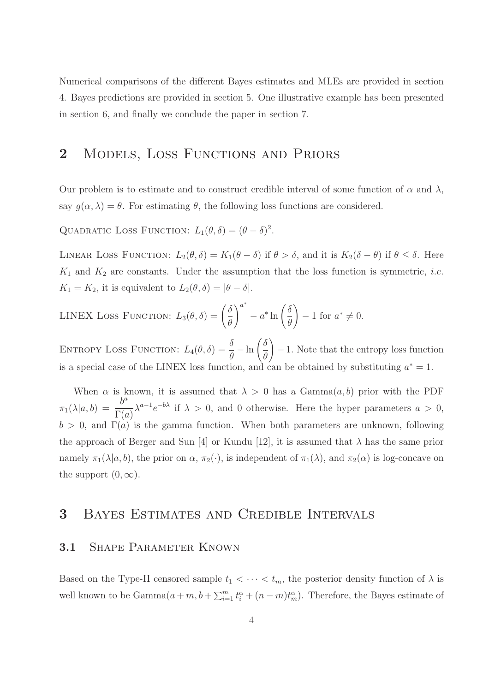Numerical comparisons of the different Bayes estimates and MLEs are provided in section 4. Bayes predictions are provided in section 5. One illustrative example has been presented in section 6, and finally we conclude the paper in section 7.

## 2 MODELS, LOSS FUNCTIONS AND PRIORS

Our problem is to estimate and to construct credible interval of some function of  $\alpha$  and  $\lambda$ , say  $g(\alpha, \lambda) = \theta$ . For estimating  $\theta$ , the following loss functions are considered.

QUADRATIC LOSS FUNCTION:  $L_1(\theta, \delta) = (\theta - \delta)^2$ .

LINEAR LOSS FUNCTION:  $L_2(\theta, \delta) = K_1(\theta - \delta)$  if  $\theta > \delta$ , and it is  $K_2(\delta - \theta)$  if  $\theta \leq \delta$ . Here  $K_1$  and  $K_2$  are constants. Under the assumption that the loss function is symmetric, *i.e.*  $K_1 = K_2$ , it is equivalent to  $L_2(\theta, \delta) = |\theta - \delta|$ .

$$
\text{LINEX Loss FUNCTION: } L_3(\theta, \delta) = \left(\frac{\delta}{\theta}\right)^{a^*} - a^* \ln\left(\frac{\delta}{\theta}\right) - 1 \text{ for } a^* \neq 0.
$$

ENTROPY LOSS FUNCTION:  $L_4(\theta, \delta) = \frac{\delta}{\theta} - \ln \left( \frac{\delta}{\theta} \right)$ θ  $\setminus$ − 1. Note that the entropy loss function is a special case of the LINEX loss function, and can be obtained by substituting  $a^* = 1$ .

When  $\alpha$  is known, it is assumed that  $\lambda > 0$  has a Gamma $(a, b)$  prior with the PDF  $\pi_1(\lambda|a, b) = \frac{b^a}{\Gamma(a)}$  $\Gamma(a)$  $\lambda^{a-1}e^{-b\lambda}$  if  $\lambda > 0$ , and 0 otherwise. Here the hyper parameters  $a > 0$ ,  $b > 0$ , and  $\Gamma(a)$  is the gamma function. When both parameters are unknown, following the approach of Berger and Sun [4] or Kundu [12], it is assumed that  $\lambda$  has the same prior namely  $\pi_1(\lambda|a, b)$ , the prior on  $\alpha$ ,  $\pi_2(\cdot)$ , is independent of  $\pi_1(\lambda)$ , and  $\pi_2(\alpha)$  is log-concave on the support  $(0, \infty)$ .

# 3 Bayes Estimates and Credible Intervals

#### 3.1 SHAPE PARAMETER KNOWN

Based on the Type-II censored sample  $t_1 < \cdots < t_m$ , the posterior density function of  $\lambda$  is well known to be  $Gamma(a+m, b+\sum_{i=1}^m t_i^{\alpha}+(n-m)t_m^{\alpha})$ . Therefore, the Bayes estimate of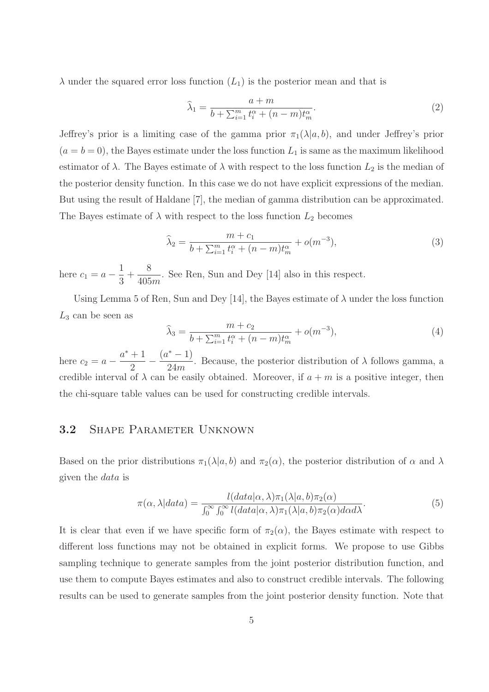$\lambda$  under the squared error loss function  $(L_1)$  is the posterior mean and that is

$$
\widehat{\lambda}_1 = \frac{a+m}{b+\sum_{i=1}^m t_i^{\alpha}+(n-m)t_m^{\alpha}}.\tag{2}
$$

Jeffrey's prior is a limiting case of the gamma prior  $\pi_1(\lambda|a, b)$ , and under Jeffrey's prior  $(a = b = 0)$ , the Bayes estimate under the loss function  $L_1$  is same as the maximum likelihood estimator of  $\lambda$ . The Bayes estimate of  $\lambda$  with respect to the loss function  $L_2$  is the median of the posterior density function. In this case we do not have explicit expressions of the median. But using the result of Haldane [7], the median of gamma distribution can be approximated. The Bayes estimate of  $\lambda$  with respect to the loss function  $L_2$  becomes

$$
\widehat{\lambda}_2 = \frac{m + c_1}{b + \sum_{i=1}^m t_i^{\alpha} + (n - m)t_m^{\alpha}} + o(m^{-3}),
$$
\n(3)

here  $c_1 = a - \frac{1}{2}$ 3  $+$ 8  $\frac{6}{405m}$ . See Ren, Sun and Dey [14] also in this respect.

Using Lemma 5 of Ren, Sun and Dey [14], the Bayes estimate of  $\lambda$  under the loss function  $L_3$  can be seen as

$$
\widehat{\lambda}_3 = \frac{m + c_2}{b + \sum_{i=1}^m t_i^{\alpha} + (n - m)t_m^{\alpha}} + o(m^{-3}),
$$
\n(4)

here  $c_2 = a$  $a^*+1$ 2 −  $(a^* - 1)$ 24m . Because, the posterior distribution of  $\lambda$  follows gamma, a credible interval of  $\lambda$  can be easily obtained. Moreover, if  $a + m$  is a positive integer, then the chi-square table values can be used for constructing credible intervals.

#### 3.2 Shape Parameter Unknown

Based on the prior distributions  $\pi_1(\lambda|a, b)$  and  $\pi_2(\alpha)$ , the posterior distribution of  $\alpha$  and  $\lambda$ given the data is

$$
\pi(\alpha, \lambda|data) = \frac{l(data|\alpha, \lambda)\pi_1(\lambda|a, b)\pi_2(\alpha)}{\int_0^\infty \int_0^\infty l(data|\alpha, \lambda)\pi_1(\lambda|a, b)\pi_2(\alpha)d\alpha d\lambda}.
$$
\n(5)

It is clear that even if we have specific form of  $\pi_2(\alpha)$ , the Bayes estimate with respect to different loss functions may not be obtained in explicit forms. We propose to use Gibbs sampling technique to generate samples from the joint posterior distribution function, and use them to compute Bayes estimates and also to construct credible intervals. The following results can be used to generate samples from the joint posterior density function. Note that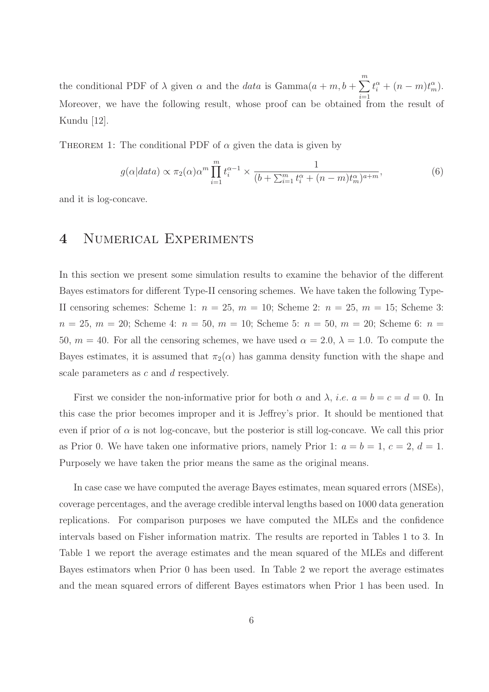the conditional PDF of  $\lambda$  given  $\alpha$  and the *data* is  $Gamma(a+m, b+\sum^m)$  $i=1$  $t_i^{\alpha} + (n-m)t_m^{\alpha}).$ Moreover, we have the following result, whose proof can be obtained from the result of Kundu [12].

THEOREM 1: The conditional PDF of  $\alpha$  given the data is given by

$$
g(\alpha|data) \propto \pi_2(\alpha)\alpha^m \prod_{i=1}^m t_i^{\alpha-1} \times \frac{1}{(b+\sum_{i=1}^m t_i^{\alpha}+(n-m)t_m^{\alpha})^{a+m}},\tag{6}
$$

and it is log-concave.

## 4 Numerical Experiments

In this section we present some simulation results to examine the behavior of the different Bayes estimators for different Type-II censoring schemes. We have taken the following Type-II censoring schemes: Scheme 1:  $n = 25$ ,  $m = 10$ ; Scheme 2:  $n = 25$ ,  $m = 15$ ; Scheme 3:  $n = 25, m = 20$ ; Scheme 4:  $n = 50, m = 10$ ; Scheme 5:  $n = 50, m = 20$ ; Scheme 6:  $n =$ 50,  $m = 40$ . For all the censoring schemes, we have used  $\alpha = 2.0$ ,  $\lambda = 1.0$ . To compute the Bayes estimates, it is assumed that  $\pi_2(\alpha)$  has gamma density function with the shape and scale parameters as c and d respectively.

First we consider the non-informative prior for both  $\alpha$  and  $\lambda$ , *i.e.*  $a = b = c = d = 0$ . In this case the prior becomes improper and it is Jeffrey's prior. It should be mentioned that even if prior of  $\alpha$  is not log-concave, but the posterior is still log-concave. We call this prior as Prior 0. We have taken one informative priors, namely Prior 1:  $a = b = 1, c = 2, d = 1$ . Purposely we have taken the prior means the same as the original means.

In case case we have computed the average Bayes estimates, mean squared errors (MSEs), coverage percentages, and the average credible interval lengths based on 1000 data generation replications. For comparison purposes we have computed the MLEs and the confidence intervals based on Fisher information matrix. The results are reported in Tables 1 to 3. In Table 1 we report the average estimates and the mean squared of the MLEs and different Bayes estimators when Prior 0 has been used. In Table 2 we report the average estimates and the mean squared errors of different Bayes estimators when Prior 1 has been used. In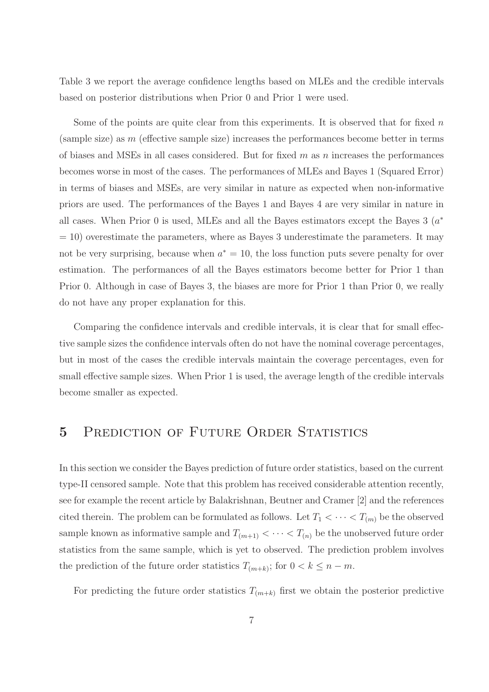Table 3 we report the average confidence lengths based on MLEs and the credible intervals based on posterior distributions when Prior 0 and Prior 1 were used.

Some of the points are quite clear from this experiments. It is observed that for fixed  $n$ (sample size) as  $m$  (effective sample size) increases the performances become better in terms of biases and MSEs in all cases considered. But for fixed  $m$  as  $n$  increases the performances becomes worse in most of the cases. The performances of MLEs and Bayes 1 (Squared Error) in terms of biases and MSEs, are very similar in nature as expected when non-informative priors are used. The performances of the Bayes 1 and Bayes 4 are very similar in nature in all cases. When Prior 0 is used, MLEs and all the Bayes estimators except the Bayes  $3(a^*)$  $= 10$ ) overestimate the parameters, where as Bayes 3 underestimate the parameters. It may not be very surprising, because when  $a^* = 10$ , the loss function puts severe penalty for over estimation. The performances of all the Bayes estimators become better for Prior 1 than Prior 0. Although in case of Bayes 3, the biases are more for Prior 1 than Prior 0, we really do not have any proper explanation for this.

Comparing the confidence intervals and credible intervals, it is clear that for small effective sample sizes the confidence intervals often do not have the nominal coverage percentages, but in most of the cases the credible intervals maintain the coverage percentages, even for small effective sample sizes. When Prior 1 is used, the average length of the credible intervals become smaller as expected.

#### 5 PREDICTION OF FUTURE ORDER STATISTICS

In this section we consider the Bayes prediction of future order statistics, based on the current type-II censored sample. Note that this problem has received considerable attention recently, see for example the recent article by Balakrishnan, Beutner and Cramer [2] and the references cited therein. The problem can be formulated as follows. Let  $T_1 < \cdots < T_{(m)}$  be the observed sample known as informative sample and  $T_{(m+1)} < \cdots < T_{(n)}$  be the unobserved future order statistics from the same sample, which is yet to observed. The prediction problem involves the prediction of the future order statistics  $T_{(m+k)}$ ; for  $0 < k \leq n-m$ .

For predicting the future order statistics  $T_{(m+k)}$  first we obtain the posterior predictive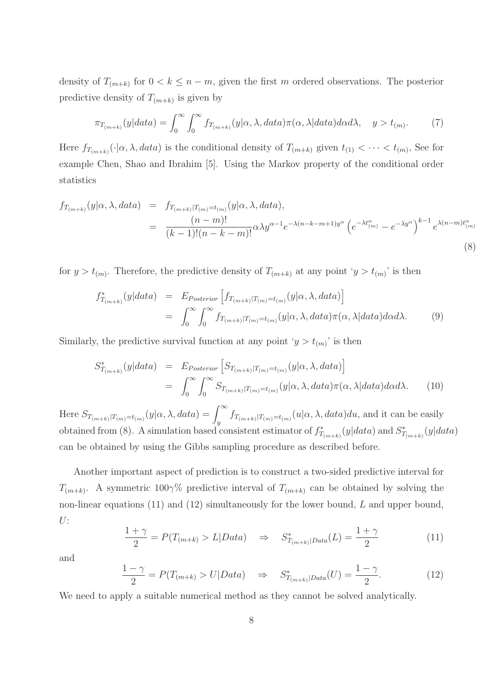density of  $T_{(m+k)}$  for  $0 < k \leq n-m$ , given the first m ordered observations. The posterior predictive density of  $T_{(m+k)}$  is given by

$$
\pi_{T_{(m+k)}}(y|data) = \int_0^\infty \int_0^\infty f_{T_{(m+k)}}(y|\alpha,\lambda, data)\pi(\alpha,\lambda|data)d\alpha d\lambda, \quad y > t_{(m)}.
$$
 (7)

Here  $f_{T_{(m+k)}}(\cdot|\alpha,\lambda, data)$  is the conditional density of  $T_{(m+k)}$  given  $t_{(1)} < \cdots < t_{(m)}$ , See for example Chen, Shao and Ibrahim [5]. Using the Markov property of the conditional order statistics

$$
f_{T_{(m+k)}}(y|\alpha,\lambda,data) = f_{T_{(m+k)}|T_{(m)}=t_{(m)}}(y|\alpha,\lambda,data),
$$
  

$$
= \frac{(n-m)!}{(k-1)!(n-k-m)!} \alpha \lambda y^{\alpha-1} e^{-\lambda(n-k-m+1)y^{\alpha}} \left(e^{-\lambda t_{(m)}^{\alpha}} - e^{-\lambda y^{\alpha}}\right)^{k-1} e^{\lambda(n-m)t_{(m)}^{\alpha}}
$$
(8)

for  $y > t_{(m)}$ . Therefore, the predictive density of  $T_{(m+k)}$  at any point ' $y > t_{(m)}$ ' is then

$$
f_{T_{(m+k)}}^*(y|data) = E_{Posterior}\left[f_{T_{(m+k)}|T_{(m)}=t_{(m)}}(y|\alpha,\lambda,data)\right]
$$
  

$$
= \int_0^\infty \int_0^\infty f_{T_{(m+k)}|T_{(m)}=t_{(m)}}(y|\alpha,\lambda,data)\pi(\alpha,\lambda|data)d\alpha d\lambda.
$$
 (9)

Similarly, the predictive survival function at any point ' $y > t_{(m)}$ ' is then

$$
S_{T_{(m+k)}}^*(y|data) = E_{Posterior}\left[S_{T_{(m+k)}|T_{(m)}=t_{(m)}}(y|\alpha,\lambda,data)\right]
$$
  
= 
$$
\int_0^\infty \int_0^\infty S_{T_{(m+k)}|T_{(m)}=t_{(m)}}(y|\alpha,\lambda,data)\pi(\alpha,\lambda|data)d\alpha d\lambda.
$$
 (10)

Here  $S_{T_{(m+k)}|T_{(m)}=t_{(m)}}(y|\alpha,\lambda,data) = \int_y^{\infty} f_{T_{(m+k)}|T_{(m)}=t_{(m)}}(u|\alpha,\lambda,data)du$ , and it can be easily obtained from (8). A simulation based consistent estimator of  $f^*_{T_{(m+k)}}(y|data)$  and  $S^*_{T_{(m+k)}}(y|data)$ can be obtained by using the Gibbs sampling procedure as described before.

Another important aspect of prediction is to construct a two-sided predictive interval for  $T_{(m+k)}$ . A symmetric 100 $\gamma\%$  predictive interval of  $T_{(m+k)}$  can be obtained by solving the non-linear equations (11) and (12) simultaneously for the lower bound, L and upper bound,  $U:$ 

$$
\frac{1+\gamma}{2} = P(T_{(m+k)} > L | Data) \quad \Rightarrow \quad S_{T_{(m+k)}|Data}^*(L) = \frac{1+\gamma}{2} \tag{11}
$$

and

$$
\frac{1-\gamma}{2} = P(T_{(m+k)} > U|Data) \quad \Rightarrow \quad S_{T_{(m+k)}|Data}^*(U) = \frac{1-\gamma}{2}.
$$
 (12)

We need to apply a suitable numerical method as they cannot be solved analytically.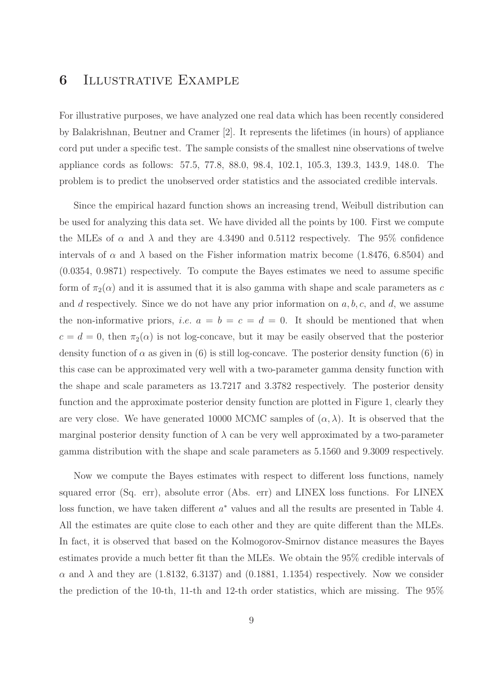#### 6 Illustrative Example

For illustrative purposes, we have analyzed one real data which has been recently considered by Balakrishnan, Beutner and Cramer [2]. It represents the lifetimes (in hours) of appliance cord put under a specific test. The sample consists of the smallest nine observations of twelve appliance cords as follows: 57.5, 77.8, 88.0, 98.4, 102.1, 105.3, 139.3, 143.9, 148.0. The problem is to predict the unobserved order statistics and the associated credible intervals.

Since the empirical hazard function shows an increasing trend, Weibull distribution can be used for analyzing this data set. We have divided all the points by 100. First we compute the MLEs of  $\alpha$  and  $\lambda$  and they are 4.3490 and 0.5112 respectively. The 95% confidence intervals of  $\alpha$  and  $\lambda$  based on the Fisher information matrix become (1.8476, 6.8504) and (0.0354, 0.9871) respectively. To compute the Bayes estimates we need to assume specific form of  $\pi_2(\alpha)$  and it is assumed that it is also gamma with shape and scale parameters as c and d respectively. Since we do not have any prior information on  $a, b, c$ , and  $d$ , we assume the non-informative priors, *i.e.*  $a = b = c = d = 0$ . It should be mentioned that when  $c = d = 0$ , then  $\pi_2(\alpha)$  is not log-concave, but it may be easily observed that the posterior density function of  $\alpha$  as given in (6) is still log-concave. The posterior density function (6) in this case can be approximated very well with a two-parameter gamma density function with the shape and scale parameters as 13.7217 and 3.3782 respectively. The posterior density function and the approximate posterior density function are plotted in Figure 1, clearly they are very close. We have generated 10000 MCMC samples of  $(\alpha, \lambda)$ . It is observed that the marginal posterior density function of  $\lambda$  can be very well approximated by a two-parameter gamma distribution with the shape and scale parameters as 5.1560 and 9.3009 respectively.

Now we compute the Bayes estimates with respect to different loss functions, namely squared error (Sq. err), absolute error (Abs. err) and LINEX loss functions. For LINEX loss function, we have taken different  $a^*$  values and all the results are presented in Table 4. All the estimates are quite close to each other and they are quite different than the MLEs. In fact, it is observed that based on the Kolmogorov-Smirnov distance measures the Bayes estimates provide a much better fit than the MLEs. We obtain the 95% credible intervals of  $\alpha$  and  $\lambda$  and they are (1.8132, 6.3137) and (0.1881, 1.1354) respectively. Now we consider the prediction of the 10-th, 11-th and 12-th order statistics, which are missing. The 95%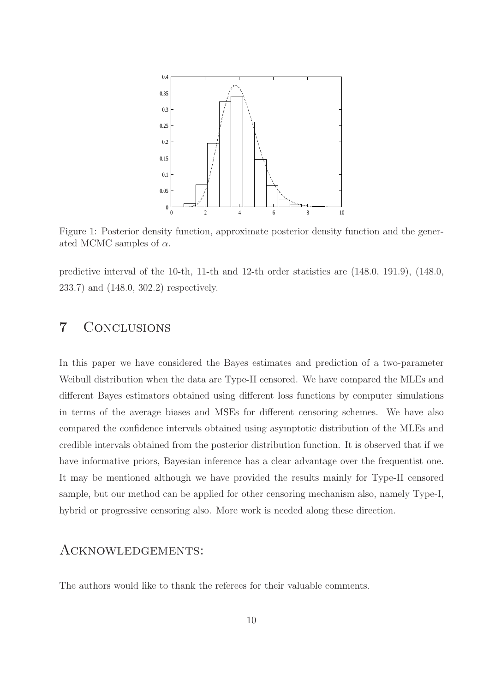

Figure 1: Posterior density function, approximate posterior density function and the generated MCMC samples of  $\alpha$ .

predictive interval of the 10-th, 11-th and 12-th order statistics are (148.0, 191.9), (148.0, 233.7) and (148.0, 302.2) respectively.

## 7 Conclusions

In this paper we have considered the Bayes estimates and prediction of a two-parameter Weibull distribution when the data are Type-II censored. We have compared the MLEs and different Bayes estimators obtained using different loss functions by computer simulations in terms of the average biases and MSEs for different censoring schemes. We have also compared the confidence intervals obtained using asymptotic distribution of the MLEs and credible intervals obtained from the posterior distribution function. It is observed that if we have informative priors, Bayesian inference has a clear advantage over the frequentist one. It may be mentioned although we have provided the results mainly for Type-II censored sample, but our method can be applied for other censoring mechanism also, namely Type-I, hybrid or progressive censoring also. More work is needed along these direction.

#### Acknowledgements:

The authors would like to thank the referees for their valuable comments.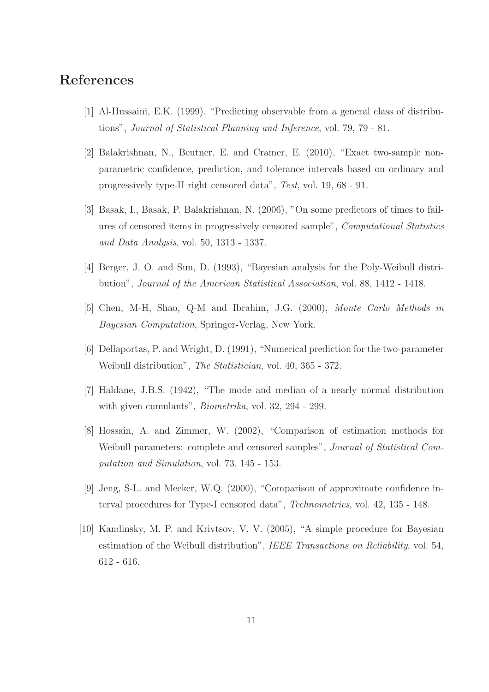# References

- [1] Al-Hussaini, E.K. (1999), "Predicting observable from a general class of distributions", Journal of Statistical Planning and Inference, vol. 79, 79 - 81.
- [2] Balakrishnan, N., Beutner, E. and Cramer, E. (2010), "Exact two-sample nonparametric confidence, prediction, and tolerance intervals based on ordinary and progressively type-II right censored data", Test, vol. 19, 68 - 91.
- [3] Basak, I., Basak, P. Balakrishnan, N. (2006), "On some predictors of times to failures of censored items in progressively censored sample", Computational Statistics and Data Analysis, vol. 50, 1313 - 1337.
- [4] Berger, J. O. and Sun, D. (1993), "Bayesian analysis for the Poly-Weibull distribution", Journal of the American Statistical Association, vol. 88, 1412 - 1418.
- [5] Chen, M-H, Shao, Q-M and Ibrahim, J.G. (2000), Monte Carlo Methods in Bayesian Computation, Springer-Verlag, New York.
- [6] Dellaportas, P. and Wright, D. (1991), "Numerical prediction for the two-parameter Weibull distribution", The Statistician, vol. 40, 365 - 372.
- [7] Haldane, J.B.S. (1942), "The mode and median of a nearly normal distribution with given cumulants", *Biometrika*, vol. 32, 294 - 299.
- [8] Hossain, A. and Zimmer, W. (2002), "Comparison of estimation methods for Weibull parameters: complete and censored samples", *Journal of Statistical Com*putation and Simulation, vol. 73, 145 - 153.
- [9] Jeng, S-L. and Meeker, W.Q. (2000), "Comparison of approximate confidence interval procedures for Type-I censored data", Technometrics, vol. 42, 135 - 148.
- [10] Kandinsky, M. P. and Krivtsov, V. V. (2005), "A simple procedure for Bayesian estimation of the Weibull distribution", IEEE Transactions on Reliability, vol. 54, 612 - 616.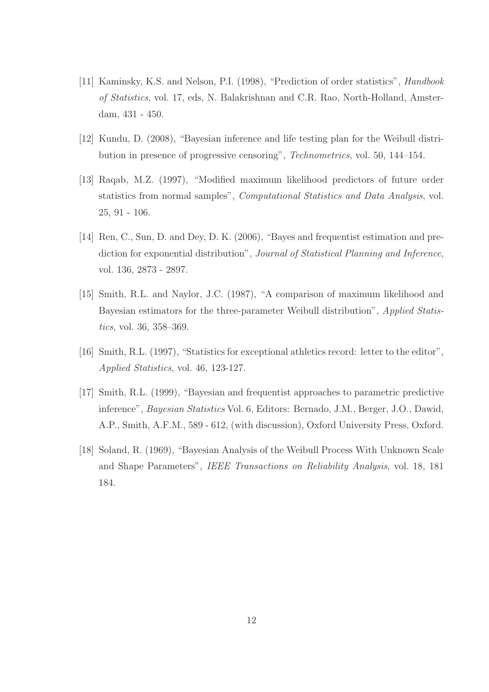- [11] Kaminsky, K.S. and Nelson, P.I. (1998), "Prediction of order statistics", Handbook of Statistics, vol. 17, eds, N. Balakrishnan and C.R. Rao, North-Holland, Amsterdam, 431 - 450.
- [12] Kundu, D. (2008), "Bayesian inference and life testing plan for the Weibull distribution in presence of progressive censoring", Technometrics, vol. 50, 144–154.
- [13] Raqab, M.Z. (1997), "Modified maximum likelihood predictors of future order statistics from normal samples", Computational Statistics and Data Analysis, vol. 25, 91 - 106.
- [14] Ren, C., Sun, D. and Dey, D. K. (2006), "Bayes and frequentist estimation and prediction for exponential distribution", Journal of Statistical Planning and Inference, vol. 136, 2873 - 2897.
- [15] Smith, R.L. and Naylor, J.C. (1987), "A comparison of maximum likelihood and Bayesian estimators for the three-parameter Weibull distribution", Applied Statistics, vol. 36, 358–369.
- [16] Smith, R.L. (1997), "Statistics for exceptional athletics record: letter to the editor", Applied Statistics, vol. 46, 123-127.
- [17] Smith, R.L. (1999), "Bayesian and frequentist approaches to parametric predictive inference", Bayesian Statistics Vol. 6, Editors: Bernado, J.M., Berger, J.O., Dawid, A.P., Smith, A.F.M., 589 - 612, (with discussion), Oxford University Press, Oxford.
- [18] Soland, R. (1969), "Bayesian Analysis of the Weibull Process With Unknown Scale and Shape Parameters", IEEE Transactions on Reliability Analysis, vol. 18, 181 184.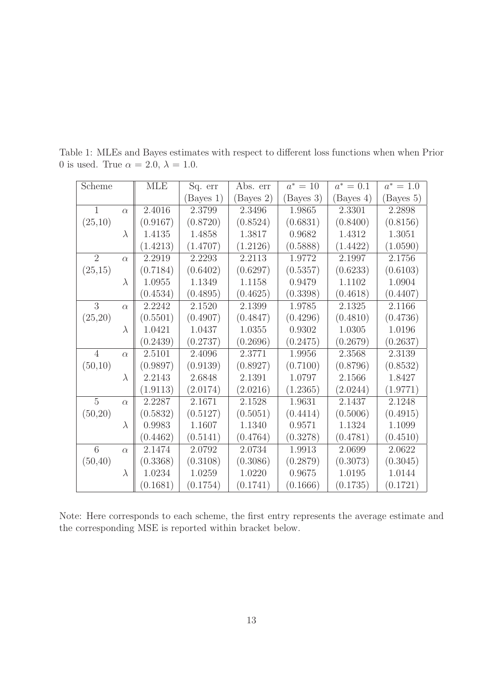| Scheme         |           | <b>MLE</b> | Sq. err  | Abs. err  | $a^* = 10$ | $a^* = 0.1$ | $a^* = 1.0$ |
|----------------|-----------|------------|----------|-----------|------------|-------------|-------------|
|                |           |            | Bayes 1) | (Bayes 2) | (Bayes 3)  | (Bayes 4)   | (Bayes 5)   |
| $\mathbf{1}$   | $\alpha$  | 2.4016     | 2.3799   | 2.3496    | 1.9865     | 2.3301      | 2.2898      |
| (25,10)        |           | (0.9167)   | (0.8720) | (0.8524)  | (0.6831)   | (0.8400)    | (0.8156)    |
|                | $\lambda$ | 1.4135     | 1.4858   | 1.3817    | 0.9682     | 1.4312      | 1.3051      |
|                |           | (1.4213)   | (1.4707) | (1.2126)  | (0.5888)   | (1.4422)    | (1.0590)    |
| $\overline{2}$ | $\alpha$  | 2.2919     | 2.2293   | 2.2113    | 1.9772     | 2.1997      | 2.1756      |
| (25,15)        |           | (0.7184)   | (0.6402) | (0.6297)  | (0.5357)   | (0.6233)    | (0.6103)    |
|                | $\lambda$ | 1.0955     | 1.1349   | 1.1158    | 0.9479     | 1.1102      | 1.0904      |
|                |           | (0.4534)   | (0.4895) | (0.4625)  | (0.3398)   | (0.4618)    | (0.4407)    |
| 3              | $\alpha$  | 2.2242     | 2.1520   | 2.1399    | 1.9785     | 2.1325      | 2.1166      |
| (25,20)        |           | (0.5501)   | (0.4907) | (0.4847)  | (0.4296)   | (0.4810)    | (0.4736)    |
|                | $\lambda$ | 1.0421     | 1.0437   | 1.0355    | 0.9302     | 1.0305      | 1.0196      |
|                |           | (0.2439)   | (0.2737) | (0.2696)  | (0.2475)   | (0.2679)    | (0.2637)    |
| $\overline{4}$ | $\alpha$  | 2.5101     | 2.4096   | 2.3771    | 1.9956     | 2.3568      | 2.3139      |
| (50,10)        |           | (0.9897)   | (0.9139) | (0.8927)  | (0.7100)   | (0.8796)    | (0.8532)    |
|                | $\lambda$ | 2.2143     | 2.6848   | 2.1391    | 1.0797     | 2.1566      | 1.8427      |
|                |           | (1.9113)   | (2.0174) | (2.0216)  | (1.2365)   | (2.0244)    | (1.9771)    |
| $\overline{5}$ | $\alpha$  | 2.2287     | 2.1671   | 2.1528    | 1.9631     | 2.1437      | 2.1248      |
| (50,20)        |           | (0.5832)   | (0.5127) | (0.5051)  | (0.4414)   | (0.5006)    | (0.4915)    |
|                | $\lambda$ | 0.9983     | 1.1607   | 1.1340    | 0.9571     | 1.1324      | 1.1099      |
|                |           | (0.4462)   | (0.5141) | (0.4764)  | (0.3278)   | (0.4781)    | (0.4510)    |
| 6              | $\alpha$  | 2.1474     | 2.0792   | 2.0734    | 1.9913     | 2.0699      | 2.0622      |
| (50, 40)       |           | (0.3368)   | (0.3108) | (0.3086)  | (0.2879)   | (0.3073)    | (0.3045)    |
|                | $\lambda$ | 1.0234     | 1.0259   | 1.0220    | 0.9675     | 1.0195      | 1.0144      |
|                |           | (0.1681)   | (0.1754) | (0.1741)  | (0.1666)   | (0.1735)    | (0.1721)    |

Table 1: MLEs and Bayes estimates with respect to different loss functions when when Prior 0 is used. True  $\alpha = 2.0, \lambda = 1.0$ .

Note: Here corresponds to each scheme, the first entry represents the average estimate and the corresponding MSE is reported within bracket below.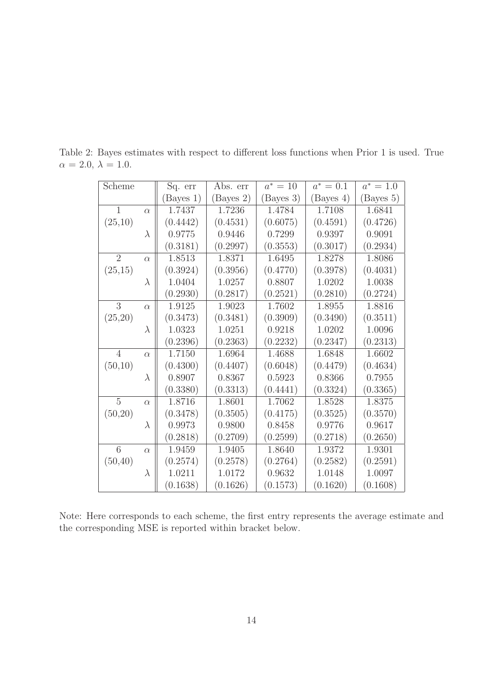| Scheme         |           | Sq. err   | Abs. err  | $a^* = 10$ | $a^* = 0.1$ | $a^* = 1.0$ |
|----------------|-----------|-----------|-----------|------------|-------------|-------------|
|                |           | (Bayes 1) | (Bayes 2) | (Bayes 3)  | (Bayes 4)   | (Bayes 5)   |
| $\mathbf{1}$   | $\alpha$  | 1.7437    | 1.7236    | 1.4784     | 1.7108      | 1.6841      |
| (25,10)        |           | (0.4442)  | (0.4531)  | (0.6075)   | (0.4591)    | (0.4726)    |
|                | $\lambda$ | 0.9775    | 0.9446    | 0.7299     | 0.9397      | 0.9091      |
|                |           | (0.3181)  | (0.2997)  | (0.3553)   | (0.3017)    | (0.2934)    |
| $\overline{2}$ | $\alpha$  | 1.8513    | 1.8371    | 1.6495     | 1.8278      | 1.8086      |
| (25,15)        |           | (0.3924)  | (0.3956)  | (0.4770)   | (0.3978)    | (0.4031)    |
|                | $\lambda$ | 1.0404    | 1.0257    | 0.8807     | 1.0202      | 1.0038      |
|                |           | (0.2930)  | (0.2817)  | (0.2521)   | (0.2810)    | (0.2724)    |
| 3              | $\alpha$  | 1.9125    | 1.9023    | 1.7602     | 1.8955      | 1.8816      |
| (25,20)        |           | (0.3473)  | (0.3481)  | (0.3909)   | (0.3490)    | (0.3511)    |
|                | $\lambda$ | 1.0323    | 1.0251    | 0.9218     | 1.0202      | 1.0096      |
|                |           | (0.2396)  | (0.2363)  | (0.2232)   | (0.2347)    | (0.2313)    |
| $\overline{4}$ | $\alpha$  | 1.7150    | 1.6964    | 1.4688     | 1.6848      | 1.6602      |
| (50,10)        |           | (0.4300)  | (0.4407)  | (0.6048)   | (0.4479)    | (0.4634)    |
|                | $\lambda$ | 0.8907    | 0.8367    | 0.5923     | 0.8366      | 0.7955      |
|                |           | (0.3380)  | (0.3313)  | (0.4441)   | (0.3324)    | (0.3365)    |
| $\overline{5}$ | $\alpha$  | 1.8716    | 1.8601    | 1.7062     | 1.8528      | 1.8375      |
| (50,20)        |           | (0.3478)  | (0.3505)  | (0.4175)   | (0.3525)    | (0.3570)    |
|                | $\lambda$ | 0.9973    | 0.9800    | 0.8458     | 0.9776      | 0.9617      |
|                |           | (0.2818)  | (0.2709)  | (0.2599)   | (0.2718)    | (0.2650)    |
| 6              | $\alpha$  | 1.9459    | 1.9405    | 1.8640     | 1.9372      | 1.9301      |
| (50, 40)       |           | (0.2574)  | (0.2578)  | (0.2764)   | (0.2582)    | (0.2591)    |
|                | $\lambda$ | 1.0211    | 1.0172    | 0.9632     | 1.0148      | 1.0097      |
|                |           | (0.1638)  | (0.1626)  | (0.1573)   | (0.1620)    | (0.1608)    |

Table 2: Bayes estimates with respect to different loss functions when Prior 1 is used. True  $\alpha = 2.0, \lambda = 1.0.$ 

Note: Here corresponds to each scheme, the first entry represents the average estimate and the corresponding MSE is reported within bracket below.